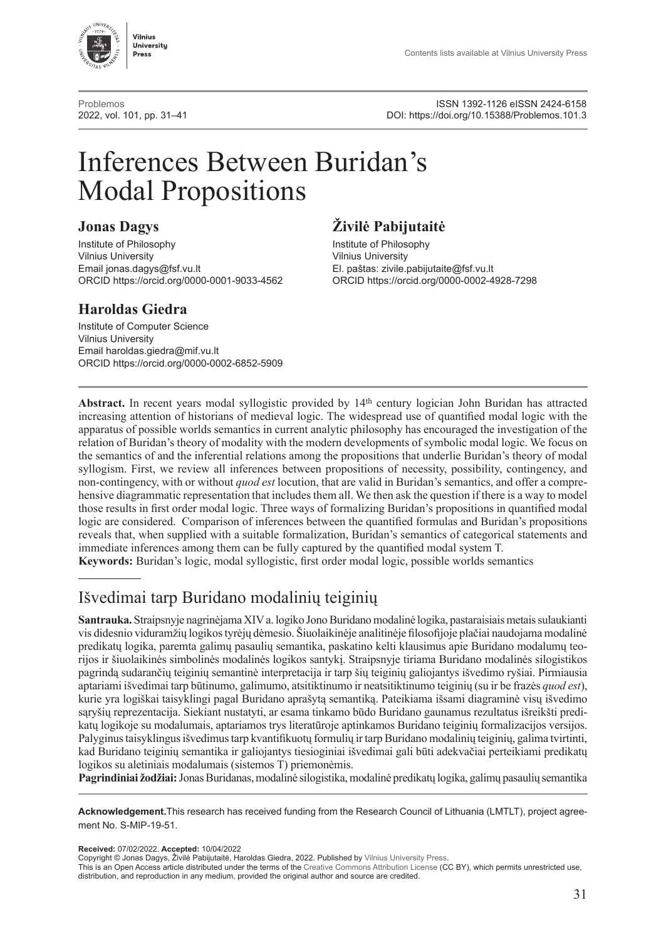

[Problemos](http://www.journals.vu.lt/problemos)<br>2022, vol. 101, pp. 31–41<br>2013.DOI: https://doi.org/10.15388/Problemos.101.3 2022, vol. 101, pp. 31–41 DOI:<https://doi.org/10.15388/Problemos.101.3>

# Inferences Between Buridan's Modal Propositions

**Institute of Philosophy**<br>
Vilnius University<br>
Vilnius University<br>
Vilnius University Vilnius University<br>
Email jonas.dagys@fsf.vu.lt<br>
El. paštas: zivile. Email [jonas.dagys@fsf.vu.lt](mailto:jonas.dagys@fsf.vu.lt)<br>ORCID https://orcid.org/0000-0001-9033-4562 CRCID https://orcid.org/0000-0002-4

### **Haroldas Giedra**

Institute of Computer Science Vilnius University Email [haroldas.giedra@mif.vu.lt](mailto:haroldas.giedra@mif.vu.lt) ORCID https://orcid.org/0000-0002-6852-5909

## **Jonas Dagys Živilė Pabijutaitė**

ORCID <https://orcid.org/0000-0001-9033-4562> ORCID https://orcid.org/0000-0002-4928-7298

**Abstract.** In recent years modal syllogistic provided by 14th century logician John Buridan has attracted increasing attention of historians of medieval logic. The widespread use of quantified modal logic with the apparatus of possible worlds semantics in current analytic philosophy has encouraged the investigation of the relation of Buridan's theory of modality with the modern developments of symbolic modal logic. We focus on the semantics of and the inferential relations among the propositions that underlie Buridan's theory of modal syllogism. First, we review all inferences between propositions of necessity, possibility, contingency, and non-contingency, with or without *quod est* locution, that are valid in Buridan's semantics, and offer a comprehensive diagrammatic representation that includes them all. We then ask the question if there is a way to model those results in first order modal logic. Three ways of formalizing Buridan's propositions in quantified modal logic are considered. Comparison of inferences between the quantified formulas and Buridan's propositions reveals that, when supplied with a suitable formalization, Buridan's semantics of categorical statements and immediate inferences among them can be fully captured by the quantified modal system T.

**Keywords:** Buridan's logic, modal syllogistic, first order modal logic, possible worlds semantics

# Išvedimai tarp Buridano modalinių teiginių

**Santrauka.** Straipsnyje nagrinėjama XIV a. logiko Jono Buridano modalinė logika, pastaraisiais metais sulaukianti vis didesnio viduramžių logikos tyrėjų dėmesio. Šiuolaikinėje analitinėje filosofijoje plačiai naudojama modalinė predikatų logika, paremta galimų pasaulių semantika, paskatino kelti klausimus apie Buridano modalumų teorijos ir šiuolaikinės simbolinės modalinės logikos santykį. Straipsnyje tiriama Buridano modalinės silogistikos pagrindą sudarančių teiginių semantinė interpretacija ir tarp šių teiginių galiojantys išvedimo ryšiai. Pirmiausia aptariami išvedimai tarp būtinumo, galimumo, atsitiktinumo ir neatsitiktinumo teiginių (su ir be frazės *quod est*), kurie yra logiškai taisyklingi pagal Buridano aprašytą semantiką. Pateikiama išsami diagraminė visų išvedimo sąryšių reprezentacija. Siekiant nustatyti, ar esama tinkamo būdo Buridano gaunamus rezultatus išreikšti predikatų logikoje su modalumais, aptariamos trys literatūroje aptinkamos Buridano teiginių formalizacijos versijos. Palyginus taisyklingus išvedimus tarp kvantifikuotų formulių ir tarp Buridano modalinių teiginių, galima tvirtinti, kad Buridano teiginių semantika ir galiojantys tiesioginiai išvedimai gali būti adekvačiai perteikiami predikatų logikos su aletiniais modalumais (sistemos T) priemonėmis.

**Pagrindiniai žodžiai:** Jonas Buridanas, modalinė silogistika, modalinė predikatų logika, galimų pasaulių semantika

**Acknowledgement.**This research has received funding from the Research Council of Lithuania (LMTLT), project agreement No. S-MIP-19-51.

**Received:** 07/02/2022. **Accepted:** 10/04/2022

Copyright © Jonas Dagys, Živilė Pabijutaitė, Haroldas Giedra, 2022. Published by [Vilnius University Press](https://www.vu.lt/leidyba/en/).

This is an Open Access article distributed under the terms of the [Creative Commons Attribution License](https://creativecommons.org/licenses/by/4.0/) (CC BY), which permits unrestricted use, distribution, and reproduction in any medium, provided the original author and source are credited.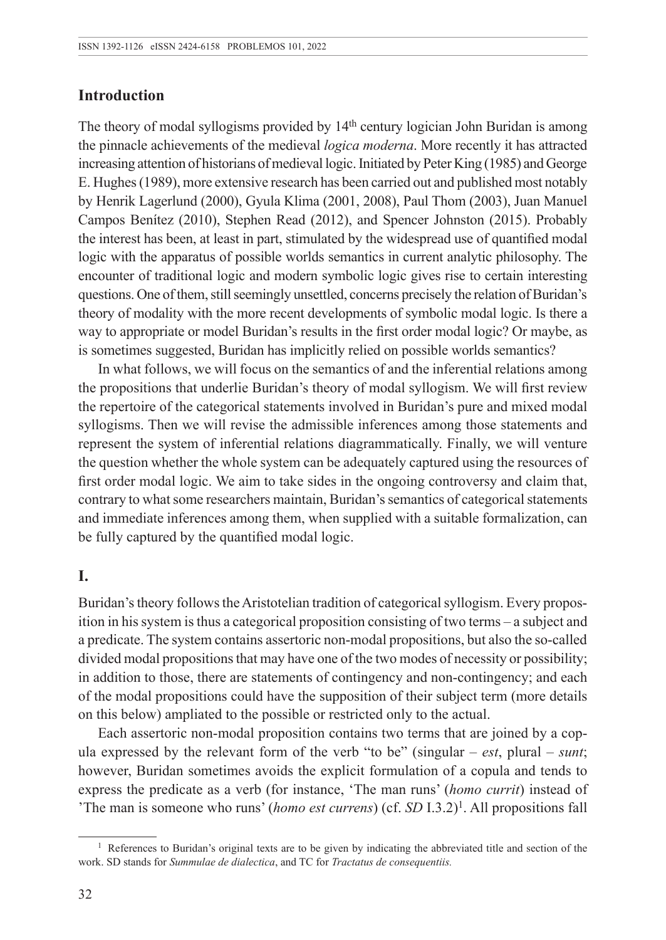#### **Introduction**

The theory of modal syllogisms provided by  $14<sup>th</sup>$  century logician John Buridan is among the pinnacle achievements of the medieval *logica moderna*. More recently it has attracted increasing attention of historians of medieval logic. Initiated by Peter King (1985) and George E. Hughes (1989), more extensive research has been carried out and published most notably by Henrik Lagerlund (2000), Gyula Klima (2001, 2008), Paul Thom (2003), Juan Manuel Campos Benítez (2010), Stephen Read (2012), and Spencer Johnston (2015). Probably the interest has been, at least in part, stimulated by the widespread use of quantified modal logic with the apparatus of possible worlds semantics in current analytic philosophy. The encounter of traditional logic and modern symbolic logic gives rise to certain interesting questions. One of them, still seemingly unsettled, concerns precisely the relation of Buridan's theory of modality with the more recent developments of symbolic modal logic. Is there a way to appropriate or model Buridan's results in the first order modal logic? Or maybe, as is sometimes suggested, Buridan has implicitly relied on possible worlds semantics?

In what follows, we will focus on the semantics of and the inferential relations among the propositions that underlie Buridan's theory of modal syllogism. We will first review the repertoire of the categorical statements involved in Buridan's pure and mixed modal syllogisms. Then we will revise the admissible inferences among those statements and represent the system of inferential relations diagrammatically. Finally, we will venture the question whether the whole system can be adequately captured using the resources of first order modal logic. We aim to take sides in the ongoing controversy and claim that, contrary to what some researchers maintain, Buridan's semantics of categorical statements and immediate inferences among them, when supplied with a suitable formalization, can be fully captured by the quantified modal logic.

### **I.**

Buridan's theory follows the Aristotelian tradition of categorical syllogism. Every proposition in his system is thus a categorical proposition consisting of two terms – a subject and a predicate. The system contains assertoric non-modal propositions, but also the so-called divided modal propositions that may have one of the two modes of necessity or possibility; in addition to those, there are statements of contingency and non-contingency; and each of the modal propositions could have the supposition of their subject term (more details on this below) ampliated to the possible or restricted only to the actual.

Each assertoric non-modal proposition contains two terms that are joined by a copula expressed by the relevant form of the verb "to be" (singular – *est*, plural – *sunt*; however, Buridan sometimes avoids the explicit formulation of a copula and tends to express the predicate as a verb (for instance, 'The man runs' (*homo currit*) instead of 'The man is someone who runs' (*homo est currens*) (cf. *SD* I.3.2)<sup>1</sup>. All propositions fall

<sup>&</sup>lt;sup>1</sup> References to Buridan's original texts are to be given by indicating the abbreviated title and section of the work. SD stands for *Summulae de dialectica*, and TC for *Tractatus de consequentiis.*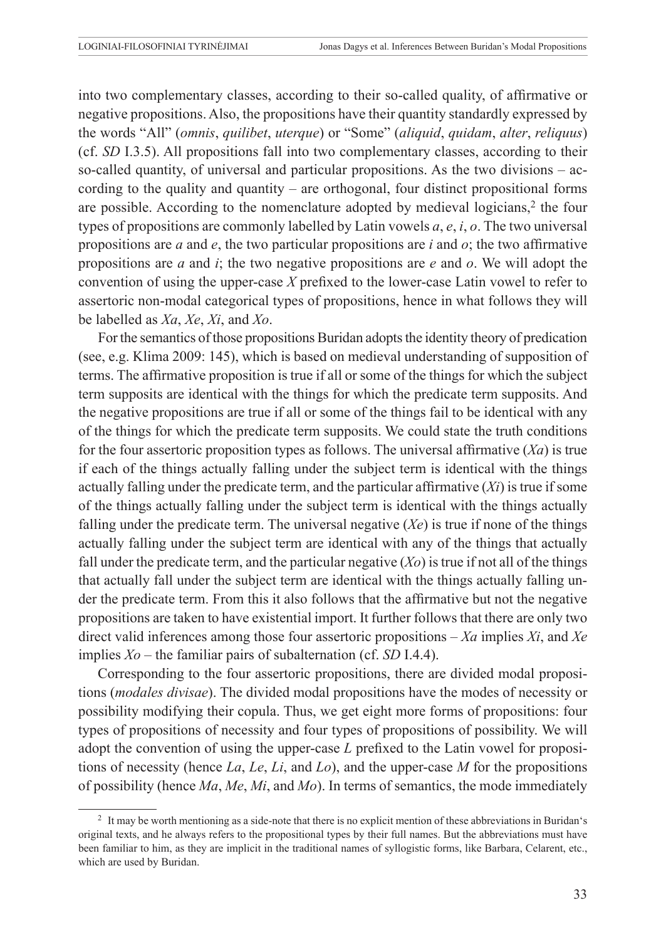into two complementary classes, according to their so-called quality, of affirmative or negative propositions. Also, the propositions have their quantity standardly expressed by the words "All" (*omnis*, *quilibet*, *uterque*) or "Some" (*aliquid*, *quidam*, *alter*, *reliquus*) (cf. *SD* I.3.5). All propositions fall into two complementary classes, according to their so-called quantity, of universal and particular propositions. As the two divisions – according to the quality and quantity – are orthogonal, four distinct propositional forms are possible. According to the nomenclature adopted by medieval logicians, $<sup>2</sup>$  the four</sup> types of propositions are commonly labelled by Latin vowels *a*, *e*, *i*, *o*. The two universal propositions are *a* and *e*, the two particular propositions are *i* and *o*; the two affirmative propositions are *a* and *i*; the two negative propositions are *e* and *o*. We will adopt the convention of using the upper-case *X* prefixed to the lower-case Latin vowel to refer to assertoric non-modal categorical types of propositions, hence in what follows they will be labelled as *Xa*, *Xe*, *Xi*, and *Xo*.

For the semantics of those propositions Buridan adopts the identity theory of predication (see, e.g. Klima 2009: 145), which is based on medieval understanding of supposition of terms. The affirmative proposition is true if all or some of the things for which the subject term supposits are identical with the things for which the predicate term supposits. And the negative propositions are true if all or some of the things fail to be identical with any of the things for which the predicate term supposits. We could state the truth conditions for the four assertoric proposition types as follows. The universal affirmative (*Xa*) is true if each of the things actually falling under the subject term is identical with the things actually falling under the predicate term, and the particular affirmative (*Xi*) is true if some of the things actually falling under the subject term is identical with the things actually falling under the predicate term. The universal negative (*Xe*) is true if none of the things actually falling under the subject term are identical with any of the things that actually fall under the predicate term, and the particular negative  $(X<sub>o</sub>)$  is true if not all of the things that actually fall under the subject term are identical with the things actually falling under the predicate term. From this it also follows that the affirmative but not the negative propositions are taken to have existential import. It further follows that there are only two direct valid inferences among those four assertoric propositions – *Xa* implies *Xi*, and *Xe* implies *Xo* – the familiar pairs of subalternation (cf. *SD* I.4.4).

Corresponding to the four assertoric propositions, there are divided modal propositions (*modales divisae*). The divided modal propositions have the modes of necessity or possibility modifying their copula. Thus, we get eight more forms of propositions: four types of propositions of necessity and four types of propositions of possibility. We will adopt the convention of using the upper-case *L* prefixed to the Latin vowel for propositions of necessity (hence *La*, *Le*, *Li*, and *Lo*), and the upper-case *M* for the propositions of possibility (hence *Ma*, *Me*, *Mi*, and *Mo*). In terms of semantics, the mode immediately

<sup>2</sup> It may be worth mentioning as a side-note that there is no explicit mention of these abbreviations in Buridan's original texts, and he always refers to the propositional types by their full names. But the abbreviations must have been familiar to him, as they are implicit in the traditional names of syllogistic forms, like Barbara, Celarent, etc., which are used by Buridan.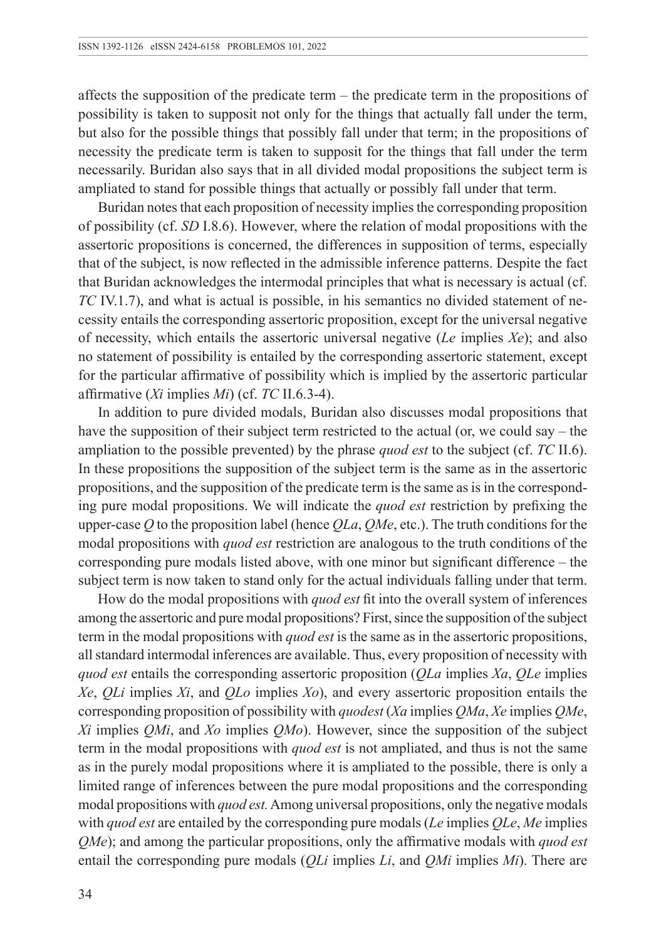affects the supposition of the predicate term – the predicate term in the propositions of possibility is taken to supposit not only for the things that actually fall under the term, but also for the possible things that possibly fall under that term; in the propositions of necessity the predicate term is taken to supposit for the things that fall under the term necessarily. Buridan also says that in all divided modal propositions the subject term is ampliated to stand for possible things that actually or possibly fall under that term.

Buridan notes that each proposition of necessity implies the corresponding proposition of possibility (cf. *SD* I.8.6). However, where the relation of modal propositions with the assertoric propositions is concerned, the differences in supposition of terms, especially that of the subject, is now reflected in the admissible inference patterns. Despite the fact that Buridan acknowledges the intermodal principles that what is necessary is actual (cf. *TC* IV.1.7), and what is actual is possible, in his semantics no divided statement of necessity entails the corresponding assertoric proposition, except for the universal negative of necessity, which entails the assertoric universal negative (*Le* implies *Xe*); and also no statement of possibility is entailed by the corresponding assertoric statement, except for the particular affirmative of possibility which is implied by the assertoric particular affirmative (*Xi* implies *Mi*) (cf. *TC* II.6.3-4).

In addition to pure divided modals, Buridan also discusses modal propositions that have the supposition of their subject term restricted to the actual (or, we could say – the ampliation to the possible prevented) by the phrase *quod est* to the subject (cf. *TC* II.6). In these propositions the supposition of the subject term is the same as in the assertoric propositions, and the supposition of the predicate term is the same as is in the corresponding pure modal propositions. We will indicate the *quod est* restriction by prefixing the upper-case *Q* to the proposition label (hence *QLa*, *QMe*, etc.). The truth conditions for the modal propositions with *quod est* restriction are analogous to the truth conditions of the corresponding pure modals listed above, with one minor but significant difference – the subject term is now taken to stand only for the actual individuals falling under that term.

How do the modal propositions with *quod est* fit into the overall system of inferences among the assertoric and pure modal propositions? First, since the supposition of the subject term in the modal propositions with *quod est* is the same as in the assertoric propositions, all standard intermodal inferences are available. Thus, every proposition of necessity with *quod est* entails the corresponding assertoric proposition (*QLa* implies *Xa*, *QLe* implies *Xe*, *QLi* implies *Xi*, and *QLo* implies *Xo*), and every assertoric proposition entails the corresponding proposition of possibility with *quodest* (*Xa* implies *QMa*, *Xe* implies *QMe*, *Xi* implies *QMi*, and *Xo* implies *QMo*). However, since the supposition of the subject term in the modal propositions with *quod est* is not ampliated, and thus is not the same as in the purely modal propositions where it is ampliated to the possible, there is only a limited range of inferences between the pure modal propositions and the corresponding modal propositions with *quod est.* Among universal propositions, only the negative modals with *quod est* are entailed by the corresponding pure modals (*Le* implies *QLe*, *Me* implies *QMe*); and among the particular propositions, only the affirmative modals with *quod est* entail the corresponding pure modals (*QLi* implies *Li*, and *QMi* implies *Mi*). There are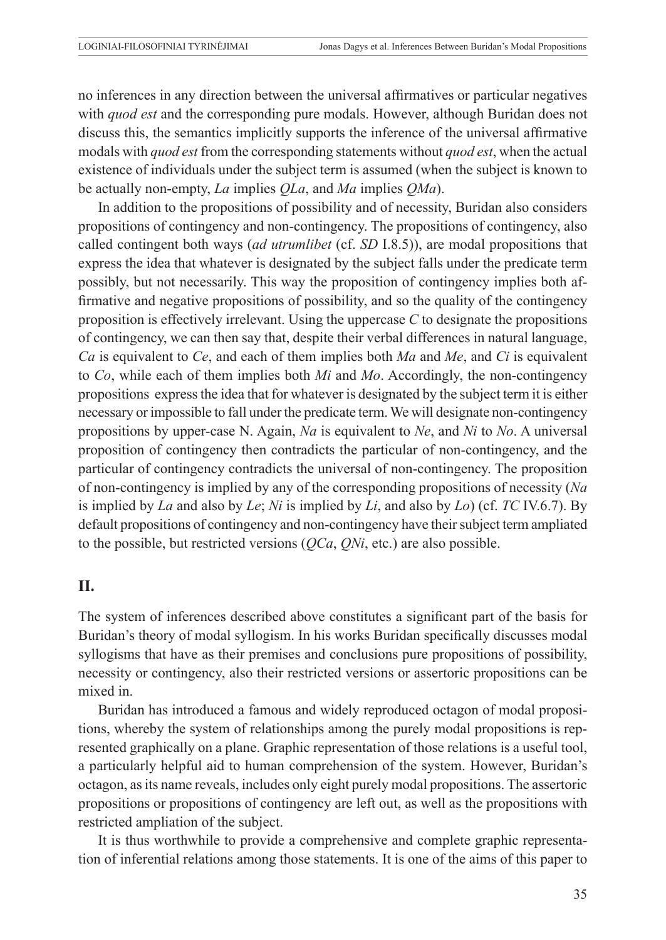no inferences in any direction between the universal affirmatives or particular negatives with *quod est* and the corresponding pure modals. However, although Buridan does not discuss this, the semantics implicitly supports the inference of the universal affirmative modals with *quod est* from the corresponding statements without *quod est*, when the actual existence of individuals under the subject term is assumed (when the subject is known to be actually non-empty, *La* implies *QLa*, and *Ma* implies *QMa*).

In addition to the propositions of possibility and of necessity, Buridan also considers propositions of contingency and non-contingency. The propositions of contingency, also called contingent both ways (*ad utrumlibet* (cf. *SD* I.8.5)), are modal propositions that express the idea that whatever is designated by the subject falls under the predicate term possibly, but not necessarily. This way the proposition of contingency implies both affirmative and negative propositions of possibility, and so the quality of the contingency proposition is effectively irrelevant. Using the uppercase *C* to designate the propositions of contingency, we can then say that, despite their verbal differences in natural language, *Ca* is equivalent to *Ce*, and each of them implies both *Ma* and *Me*, and *Ci* is equivalent to *Co*, while each of them implies both *Mi* and *Mo*. Accordingly, the non-contingency propositions express the idea that for whatever is designated by the subject term it is either necessary or impossible to fall under the predicate term. We will designate non-contingency propositions by upper-case N. Again, *Na* is equivalent to *Ne*, and *Ni* to *No*. A universal proposition of contingency then contradicts the particular of non-contingency, and the particular of contingency contradicts the universal of non-contingency. The proposition of non-contingency is implied by any of the corresponding propositions of necessity (*Na* is implied by *La* and also by *Le*; *Ni* is implied by *Li*, and also by *Lo*) (cf. *TC* IV.6.7). By default propositions of contingency and non-contingency have their subject term ampliated to the possible, but restricted versions (*QCa*, *QNi*, etc.) are also possible.

#### **II.**

The system of inferences described above constitutes a significant part of the basis for Buridan's theory of modal syllogism. In his works Buridan specifically discusses modal syllogisms that have as their premises and conclusions pure propositions of possibility, necessity or contingency, also their restricted versions or assertoric propositions can be mixed in.

Buridan has introduced a famous and widely reproduced octagon of modal propositions, whereby the system of relationships among the purely modal propositions is represented graphically on a plane. Graphic representation of those relations is a useful tool, a particularly helpful aid to human comprehension of the system. However, Buridan's octagon, as its name reveals, includes only eight purely modal propositions. The assertoric propositions or propositions of contingency are left out, as well as the propositions with restricted ampliation of the subject.

It is thus worthwhile to provide a comprehensive and complete graphic representation of inferential relations among those statements. It is one of the aims of this paper to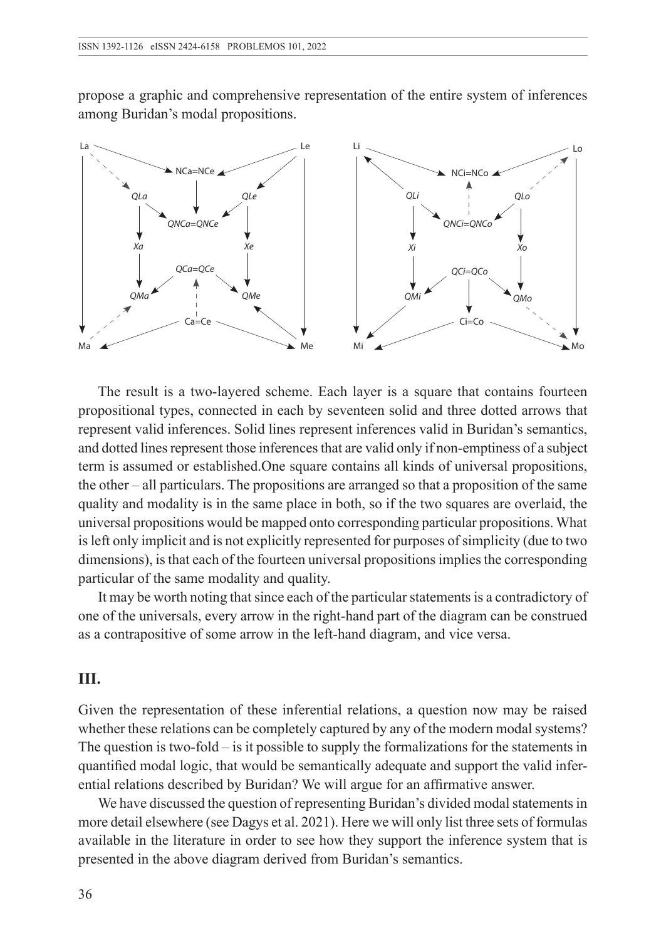propose a graphic and comprehensive representation of the entire system of inferences among Buridan's modal propositions.



The result is a two-layered scheme. Each layer is a square that contains fourteen propositional types, connected in each by seventeen solid and three dotted arrows that represent valid inferences. Solid lines represent inferences valid in Buridan's semantics, and dotted lines represent those inferences that are valid only if non-emptiness of a subject term is assumed or established.One square contains all kinds of universal propositions, the other – all particulars. The propositions are arranged so that a proposition of the same quality and modality is in the same place in both, so if the two squares are overlaid, the universal propositions would be mapped onto corresponding particular propositions. What is left only implicit and is not explicitly represented for purposes of simplicity (due to two dimensions), is that each of the fourteen universal propositions implies the corresponding particular of the same modality and quality.

It may be worth noting that since each of the particular statements is a contradictory of one of the universals, every arrow in the right-hand part of the diagram can be construed as a contrapositive of some arrow in the left-hand diagram, and vice versa.

#### **III.**

Given the representation of these inferential relations, a question now may be raised whether these relations can be completely captured by any of the modern modal systems? The question is two-fold – is it possible to supply the formalizations for the statements in quantified modal logic, that would be semantically adequate and support the valid inferential relations described by Buridan? We will argue for an affirmative answer.

We have discussed the question of representing Buridan's divided modal statements in more detail elsewhere (see Dagys et al. 2021). Here we will only list three sets of formulas available in the literature in order to see how they support the inference system that is presented in the above diagram derived from Buridan's semantics.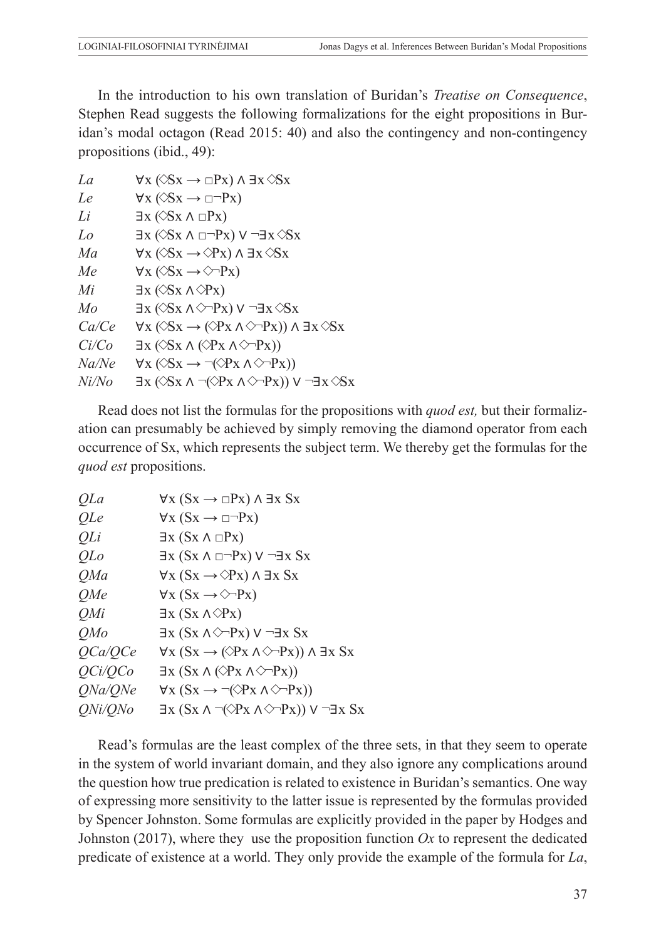In the introduction to his own translation of Buridan's *Treatise on Consequence*, Stephen Read suggests the following formalizations for the eight propositions in Buridan's modal octagon (Read 2015: 40) and also the contingency and non-contingency propositions (ibid., 49):

| La    | $\forall x (\Diamond Sx \rightarrow \Box Px) \land \exists x \Diamond Sx$                                         |
|-------|-------------------------------------------------------------------------------------------------------------------|
| Le    | $\forall x (\Diamond Sx \rightarrow \Box \neg Px)$                                                                |
| Li    | $\exists x (\Diamond Sx \land \Box Px)$                                                                           |
| Lo    | $\exists x (\& Sx \land \Box \neg Px) \lor \neg \exists x \& Sx$                                                  |
| Ma    | $\forall x (\Diamond Sx \rightarrow \Diamond Px) \land \exists x \Diamond Sx$                                     |
| Me    | $\forall x (\Diamond Sx \rightarrow \Diamond \neg Px)$                                                            |
| Mi    | $\exists x (\Diamond Sx \land \Diamond Px)$                                                                       |
| Mo    | $\exists x (\Diamond Sx \land \Diamond \neg Px) \lor \neg \exists x \Diamond Sx$                                  |
| Ca/Ce | $\forall x (\Diamond Sx \rightarrow (\Diamond Px \land \Diamond \neg Px)) \land \exists x \Diamond Sx$            |
| Ci/Co | $\exists x (\Diamond Sx \land (\Diamond Px \land \Diamond \neg Px))$                                              |
| Na/Ne | $\forall x (\Diamond Sx \rightarrow \neg (\Diamond Px \land \Diamond \neg Px))$                                   |
| Ni/No | $\exists x (\triangle S x \land \neg (\triangle P x \land \triangle \neg P x)) \lor \neg \exists x \triangle S x$ |
|       |                                                                                                                   |

Read does not list the formulas for the propositions with *quod est,* but their formalization can presumably be achieved by simply removing the diamond operator from each occurrence of Sx, which represents the subject term. We thereby get the formulas for the *quod est* propositions.

| <i>OLa</i>     | $\forall x (Sx \rightarrow \Box Px) \land \exists x Sx$                                |
|----------------|----------------------------------------------------------------------------------------|
| QLe            | $\forall x (Sx \rightarrow \Box \neg Px)$                                              |
| QLi            | $\exists x (Sx \land \Box Px)$                                                         |
| <i>OLo</i>     | $\exists x (Sx \land \Box \neg Px) \lor \neg \exists x Sx$                             |
| <i>OMa</i>     | $\forall x (Sx \rightarrow \Diamond Px) \land \exists x Sx$                            |
| OMe            | $\forall x (Sx \rightarrow \Diamond \neg Px)$                                          |
| OMi            | $\exists x (Sx \land \Diamond Px)$                                                     |
| OMo            | $\exists x (Sx \land \Diamond \neg Px) \lor \neg \exists x Sx$                         |
| OCa/OCe        | $\forall x (Sx \rightarrow (\Diamond Px \land \Diamond \neg Px)) \land \exists x Sx$   |
| OCi/OCo        | $\exists x (Sx \land (\Diamond Px \land \Diamond \neg Px))$                            |
| ONa/ONe        | $\forall x (Sx \rightarrow \neg(\Diamond P x \land \Diamond \neg Px))$                 |
| <i>ONi/ONo</i> | $\exists x (Sx \land \neg(\Diamond Px \land \Diamond \neg Px)) \lor \neg \exists x Sx$ |
|                |                                                                                        |

Read's formulas are the least complex of the three sets, in that they seem to operate in the system of world invariant domain, and they also ignore any complications around the question how true predication is related to existence in Buridan's semantics. One way of expressing more sensitivity to the latter issue is represented by the formulas provided by Spencer Johnston. Some formulas are explicitly provided in the paper by Hodges and Johnston (2017), where they use the proposition function  $Ox$  to represent the dedicated predicate of existence at a world. They only provide the example of the formula for *La*,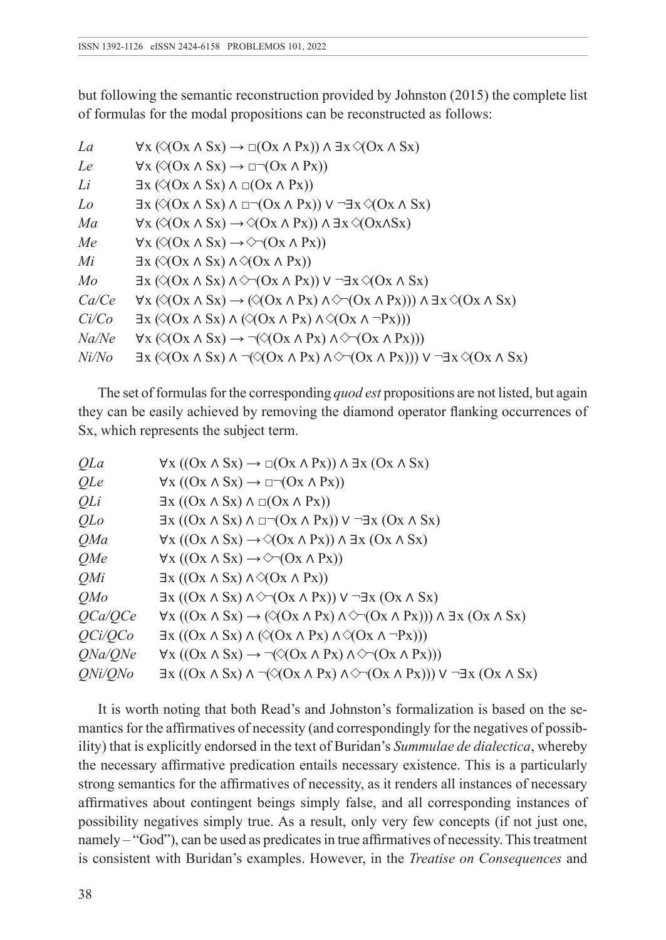but following the semantic reconstruction provided by Johnston (2015) the complete list of formulas for the modal propositions can be reconstructed as follows:

| La    | $\forall x (\triangle (Ox \land Sx) \rightarrow \Box (Ox \land Px)) \land \exists x \triangle (Ox \land Sx)$                                                          |
|-------|-----------------------------------------------------------------------------------------------------------------------------------------------------------------------|
| Le    | $\forall x (\bigcirc (Ox \land Sx) \rightarrow \Box \neg (Ox \land Px))$                                                                                              |
| Li    | $\exists x (\bigcirc (Ox \land Sx) \land \Box(Ox \land Px))$                                                                                                          |
| Lo    | $\exists x (\triangle (Ox \wedge Sx) \wedge \Box \neg (Ox \wedge Px)) \vee \neg \exists x \triangle (Ox \wedge Sx)$                                                   |
| Ma    | $\forall x (\triangle (Ox \land Sx) \rightarrow \triangle (Ox \land Px)) \land \exists x \triangle (Ox \land Sx)$                                                     |
| Me    | $\forall x (\triangle (Ox \land Sx) \rightarrow \triangle (Ox \land Px))$                                                                                             |
| Mi    | $\exists x (\triangle (Ox \land Sx) \land \triangle (Ox \land Px))$                                                                                                   |
| Mo    | $\exists x (\bigcirc (\bigcirc x \land Sx) \land \bigcirc \neg (\bigcirc x \land Px)) \lor \neg \exists x \bigcirc (\bigcirc x \land Sx)$                             |
| Ca/Ce | $\forall x (\triangle (Ox \land Sx) \rightarrow (\triangle (Ox \land Px) \land \triangle \neg (Ox \land Px))) \land \exists x \triangle (Ox \land Sx)$                |
| Ci/Co | $\exists x (\triangle (Ox \land Sx) \land (\triangle (Ox \land Px) \land \triangle (Ox \land \neg Px)))$                                                              |
| Na/Ne | $\forall x (\triangle (Ox \land Sx) \rightarrow \neg (\triangle (Ox \land Px) \land \triangle \neg (Ox \land Px)))$                                                   |
| Ni/No | $\exists x (\bigotimes (0x \wedge Sx) \wedge \neg (\bigotimes (0x \wedge Px) \wedge \bigotimes \neg (0x \wedge Px)))$ $\vee \neg \exists x \bigotimes (0x \wedge Sx)$ |

The set of formulas for the corresponding *quod est* propositions are not listed, but again they can be easily achieved by removing the diamond operator flanking occurrences of Sx, which represents the subject term.

| QLa            | $\forall x ((Ox \land Sx) \rightarrow \Box(Ox \land Px)) \land \exists x (Ox \land Sx)$                                             |
|----------------|-------------------------------------------------------------------------------------------------------------------------------------|
| QLe            | $\forall x ((Ox \land Sx) \rightarrow \Box \neg (Ox \land Px))$                                                                     |
| QLi            | $\exists x ((Ox \land Sx) \land \Box(Ox \land Px))$                                                                                 |
| QLo            | $\exists x ((Ox \land Sx) \land \Box \neg (Ox \land Px)) \lor \neg \exists x (Ox \land Sx)$                                         |
| QMa            | $\forall x ((Ox \land Sx) \rightarrow \Diamond (Ox \land Px)) \land \exists x (Ox \land Sx)$                                        |
| OMe            | $\forall x ((Ox \land Sx) \rightarrow \Diamond \neg (Ox \land Px))$                                                                 |
| OMi            | $\exists x ((Ox \land Sx) \land \Diamond (Ox \land Px))$                                                                            |
| OMo            | $\exists x ((Ox \land Sx) \land \Diamond \neg (Ox \land Px)) \lor \neg \exists x (Ox \land Sx)$                                     |
| OCa/OCe        | $\forall x ((Ox \land Sx) \rightarrow (\Diamond (Ox \land Px) \land \Diamond \neg (Ox \land Px))) \land \exists x (Ox \land Sx)$    |
| OCi/OCo        | $\exists x ((Ox \land Sx) \land (\Diamond (Ox \land Px) \land \Diamond (Ox \land \neg Px)))$                                        |
| ONa/ONe        | $\forall x ((Ox \land Sx) \rightarrow \neg (\Diamond (Ox \land Px) \land \Diamond \neg (Ox \land Px)))$                             |
| <i>ONi/ONo</i> | $\exists x ((Ox \land Sx) \land \neg (\Diamond (Ox \land Px) \land \Diamond \neg (Ox \land Px))) \lor \neg \exists x (Ox \land Sx)$ |

It is worth noting that both Read's and Johnston's formalization is based on the semantics for the affirmatives of necessity (and correspondingly for the negatives of possibility) that is explicitly endorsed in the text of Buridan's *Summulae de dialectica*, whereby the necessary affirmative predication entails necessary existence. This is a particularly strong semantics for the affirmatives of necessity, as it renders all instances of necessary affirmatives about contingent beings simply false, and all corresponding instances of possibility negatives simply true. As a result, only very few concepts (if not just one, namely – "God"), can be used as predicates in true affirmatives of necessity. This treatment is consistent with Buridan's examples. However, in the *Treatise on Consequences* and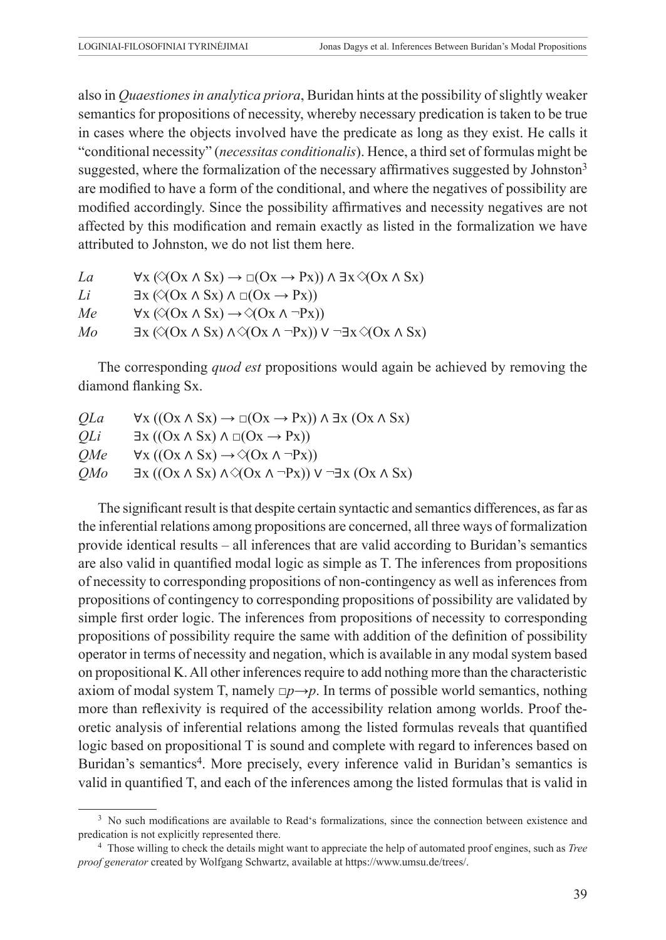also in *Quaestiones in analytica priora*, Buridan hints at the possibility of slightly weaker semantics for propositions of necessity, whereby necessary predication is taken to be true in cases where the objects involved have the predicate as long as they exist. He calls it "conditional necessity" (*necessitas conditionalis*). Hence, a third set of formulas might be suggested, where the formalization of the necessary affirmatives suggested by Johnston<sup>3</sup> are modified to have a form of the conditional, and where the negatives of possibility are modified accordingly. Since the possibility affirmatives and necessity negatives are not affected by this modification and remain exactly as listed in the formalization we have attributed to Johnston, we do not list them here.

| La | $\forall x (\triangle (Ox \land Sx) \rightarrow \Box (Ox \rightarrow Px)) \land \exists x \triangle (Ox \land Sx)$       |
|----|--------------------------------------------------------------------------------------------------------------------------|
| Li | $\exists x (\triangle (Ox \land Sx) \land \Box (Ox \rightarrow Px))$                                                     |
| Me | $\forall x (\triangle (Ox \land Sx) \rightarrow \triangle (Ox \land \neg Px))$                                           |
| Mo | $\exists x (\triangle (Ox \wedge Sx) \wedge \triangle (Ox \wedge \neg Px)) \vee \neg \exists x \triangle (Ox \wedge Sx)$ |

The corresponding *quod est* propositions would again be achieved by removing the diamond flanking Sx.

| QLa        | $\forall x ((Ox \land Sx) \rightarrow \Box (Ox \rightarrow Px)) \land \exists x (Ox \land Sx)$  |
|------------|-------------------------------------------------------------------------------------------------|
| OLi        | $\exists x ((Ox \land Sx) \land \Box(Ox \rightarrow Px))$                                       |
| <i>OMe</i> | $\forall x ((Ox \land Sx) \rightarrow \Diamond (Ox \land \neg Px))$                             |
| <i>OMo</i> | $\exists x ((Ox \land Sx) \land \Diamond (Ox \land \neg Px)) \lor \neg \exists x (Ox \land Sx)$ |

The significant result is that despite certain syntactic and semantics differences, as far as the inferential relations among propositions are concerned, all three ways of formalization provide identical results – all inferences that are valid according to Buridan's semantics are also valid in quantified modal logic as simple as T. The inferences from propositions of necessity to corresponding propositions of non-contingency as well as inferences from propositions of contingency to corresponding propositions of possibility are validated by simple first order logic. The inferences from propositions of necessity to corresponding propositions of possibility require the same with addition of the definition of possibility operator in terms of necessity and negation, which is available in any modal system based on propositional K. All other inferences require to add nothing more than the characteristic axiom of modal system T, namely  $\Box p \rightarrow p$ . In terms of possible world semantics, nothing more than reflexivity is required of the accessibility relation among worlds. Proof theoretic analysis of inferential relations among the listed formulas reveals that quantified logic based on propositional T is sound and complete with regard to inferences based on Buridan's semantics<sup>4</sup>. More precisely, every inference valid in Buridan's semantics is valid in quantified T, and each of the inferences among the listed formulas that is valid in

<sup>&</sup>lt;sup>3</sup> No such modifications are available to Read's formalizations, since the connection between existence and predication is not explicitly represented there.

<sup>4</sup> Those willing to check the details might want to appreciate the help of automated proof engines, such as *Tree proof generator* created by Wolfgang Schwartz, available at https://www.umsu.de/trees/.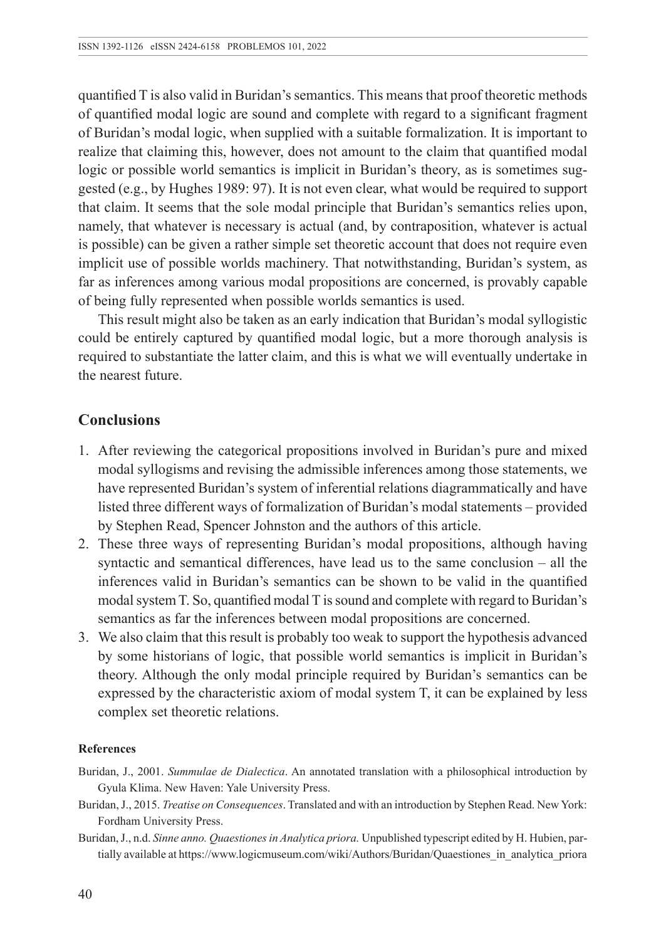quantified T is also valid in Buridan's semantics. This means that proof theoretic methods of quantified modal logic are sound and complete with regard to a significant fragment of Buridan's modal logic, when supplied with a suitable formalization. It is important to realize that claiming this, however, does not amount to the claim that quantified modal logic or possible world semantics is implicit in Buridan's theory, as is sometimes suggested (e.g., by Hughes 1989: 97). It is not even clear, what would be required to support that claim. It seems that the sole modal principle that Buridan's semantics relies upon, namely, that whatever is necessary is actual (and, by contraposition, whatever is actual is possible) can be given a rather simple set theoretic account that does not require even implicit use of possible worlds machinery. That notwithstanding, Buridan's system, as far as inferences among various modal propositions are concerned, is provably capable of being fully represented when possible worlds semantics is used.

This result might also be taken as an early indication that Buridan's modal syllogistic could be entirely captured by quantified modal logic, but a more thorough analysis is required to substantiate the latter claim, and this is what we will eventually undertake in the nearest future.

#### **Conclusions**

- 1. After reviewing the categorical propositions involved in Buridan's pure and mixed modal syllogisms and revising the admissible inferences among those statements, we have represented Buridan's system of inferential relations diagrammatically and have listed three different ways of formalization of Buridan's modal statements – provided by Stephen Read, Spencer Johnston and the authors of this article.
- 2. These three ways of representing Buridan's modal propositions, although having syntactic and semantical differences, have lead us to the same conclusion – all the inferences valid in Buridan's semantics can be shown to be valid in the quantified modal system T. So, quantified modal T is sound and complete with regard to Buridan's semantics as far the inferences between modal propositions are concerned.
- 3. We also claim that this result is probably too weak to support the hypothesis advanced by some historians of logic, that possible world semantics is implicit in Buridan's theory. Although the only modal principle required by Buridan's semantics can be expressed by the characteristic axiom of modal system T, it can be explained by less complex set theoretic relations.

#### **References**

- Buridan, J., 2001. *Summulae de Dialectica*. An annotated translation with a philosophical introduction by Gyula Klima. New Haven: Yale University Press.
- Buridan, J., 2015. *Treatise on Consequences*. Translated and with an introduction by Stephen Read. New York: Fordham University Press.
- Buridan, J., n.d. *Sinne anno. Quaestiones in Analytica priora.* Unpublished typescript edited by H. Hubien, partially available at https://www.logicmuseum.com/wiki/Authors/Buridan/Quaestiones\_in\_analytica\_priora